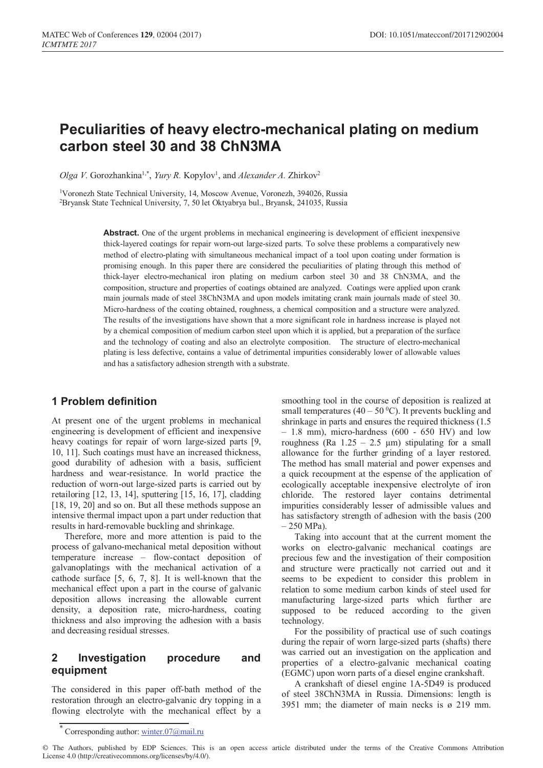# **Peculiarities of heavy electro-mechanical plating on medium carbon steel 30 and 38 ChN3MA**

Olga *V*. Gorozhankina<sup>1,\*</sup>, *Yury R.* Kopylov<sup>1</sup>, and *Alexander A. Zhirkov<sup>2</sup>* 

1 Voronezh State Technical University, 14, Moscow Avenue, Voronezh, 394026, Russia 2 Bryansk State Technical University, 7, 50 let Oktyabrya bul., Bryansk, 241035, Russia

> **Abstract.** One of the urgent problems in mechanical engineering is development of efficient inexpensive thick-layered coatings for repair worn-out large-sized parts. To solve these problems a comparatively new method of electro-plating with simultaneous mechanical impact of a tool upon coating under formation is promising enough. In this paper there are considered the peculiarities of plating through this method of thick-layer electro-mechanical iron plating on medium carbon steel 30 and 38 ChN3MA, and the composition, structure and properties of coatings obtained are analyzed. Coatings were applied upon crank main journals made of steel 38ChN3MA and upon models imitating crank main journals made of steel 30. Micro-hardness of the coating obtained, roughness, a chemical composition and a structure were analyzed. The results of the investigations have shown that a more significant role in hardness increase is played not by a chemical composition of medium carbon steel upon which it is applied, but a preparation of the surface and the technology of coating and also an electrolyte composition. The structure of electro-mechanical plating is less defective, contains a value of detrimental impurities considerably lower of allowable values and has a satisfactory adhesion strength with a substrate.

## **1 Problem definition**

At present one of the urgent problems in mechanical engineering is development of efficient and inexpensive heavy coatings for repair of worn large-sized parts [9, 10, 11]. Such coatings must have an increased thickness, good durability of adhesion with a basis, sufficient hardness and wear-resistance. In world practice the reduction of worn-out large-sized parts is carried out by retailoring [12, 13, 14], sputtering [15, 16, 17], cladding [18, 19, 20] and so on. But all these methods suppose an intensive thermal impact upon a part under reduction that results in hard-removable buckling and shrinkage.

Therefore, more and more attention is paid to the process of galvano-mechanical metal deposition without temperature increase – flow-contact deposition of galvanoplatings with the mechanical activation of a cathode surface [5, 6, 7, 8]. It is well-known that the mechanical effect upon a part in the course of galvanic deposition allows increasing the allowable current density, a deposition rate, micro-hardness, coating thickness and also improving the adhesion with a basis and decreasing residual stresses.

# **2 Investigation procedure and equipment**

The considered in this paper off-bath method of the restoration through an electro-galvanic dry topping in a flowing electrolyte with the mechanical effect by a

smoothing tool in the course of deposition is realized at small temperatures (40 – 50 $\degree$ C). It prevents buckling and shrinkage in parts and ensures the required thickness (1.5 – 1.8 mm), micro-hardness (600 - 650 HV) and low roughness (Ra  $1.25 - 2.5 \mu m$ ) stipulating for a small allowance for the further grinding of a layer restored. The method has small material and power expenses and a quick recoupment at the espense of the application of ecologically acceptable inexpensive electrolyte of iron chloride. The restored layer contains detrimental impurities considerably lesser of admissible values and has satisfactory strength of adhesion with the basis (200  $-250$  MPa).

Taking into account that at the current moment the works on electro-galvanic mechanical coatings are precious few and the investigation of their composition and structure were practically not carried out and it seems to be expedient to consider this problem in relation to some medium carbon kinds of steel used for manufacturing large-sized parts which further are supposed to be reduced according to the given technology.

For the possibility of practical use of such coatings during the repair of worn large-sized parts (shafts) there was carried out an investigation on the application and properties of a electro-galvanic mechanical coating (EGMC) upon worn parts of a diesel engine crankshaft.

A crankshaft of diesel engine 1А-5D49 is produced of steel 38ChN3МА in Russia. Dimensions: length is 3951 mm; the diameter of main necks is ø 219 mm.

© The Authors, published by EDP Sciences. This is an open access article distributed under the terms of the Creative Commons Attribution License 4.0 (http://creativecommons.org/licenses/by/4.0/).

Corresponding author: winter.07@mail.ru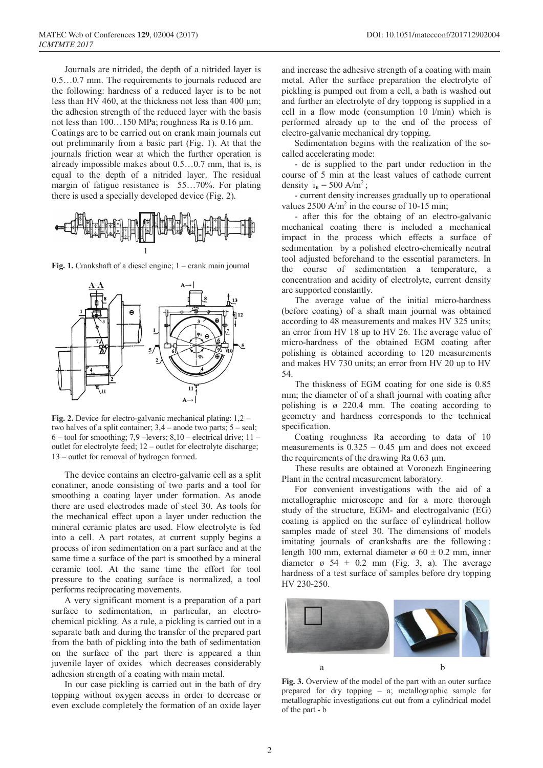Journals are nitrided, the depth of a nitrided layer is 0.5…0.7 mm. The requirements to journals reduced are the following: hardness of a reduced layer is to be not less than HV 460, at the thickness not less than 400  $\mu$ m; the adhesion strength of the reduced layer with the basis not less than  $100...150$  MPa; roughness Ra is  $0.16 \mu$ m. Coatings are to be carried out on crank main journals cut out preliminarily from a basic part (Fig. 1). At that the journals friction wear at which the further operation is already impossible makes about 0.5…0.7 mm, that is, is equal to the depth of a nitrided layer. The residual margin of fatigue resistance is 55…70%. For plating there is used a specially developed device (Fig. 2).



**Fig. 1.** Crankshaft of a diesel engine; 1 – crank main journal



**Fig. 2.** Device for electro-galvanic mechanical plating: 1,2 – two halves of a split container; 3,4 – anode two parts; 5 – seal;  $6 -$  tool for smoothing; 7,9 –levers; 8,10 – electrical drive; 11 – outlet for electrolyte feed; 12 – outlet for electrolyte discharge; 13 – outlet for removal of hydrogen formed.

The device contains an electro-galvanic cell as a split conatiner, anode consisting of two parts and a tool for smoothing a coating layer under formation. As anode there are used electrodes made of steel 30. As tools for the mechanical effect upon a layer under reduction the mineral ceramic plates are used. Flow electrolyte is fed into a cell. A part rotates, at current supply begins a process of iron sedimentation on a part surface and at the same time a surface of the part is smoothed by a mineral ceramic tool. At the same time the effort for tool pressure to the coating surface is normalized, a tool performs reciprocating movements.

A very significant moment is a preparation of a part surface to sedimentation, in particular, an electrochemical pickling. As a rule, a pickling is carried out in a separate bath and during the transfer of the prepared part from the bath of pickling into the bath of sedimentation on the surface of the part there is appeared a thin juvenile layer of oxides which decreases considerably adhesion strength of a coating with main metal.

In our case pickling is carried out in the bath of dry topping without oxygen access in order to decrease or even exclude completely the formation of an oxide layer

and increase the adhesive strength of a coating with main metal. After the surface preparation the electrolyte of pickling is pumped out from a cell, a bath is washed out and further an electrolyte of dry toppong is supplied in a cell in a flow mode (consumption 10 l/min) which is performed already up to the end of the process of electro-galvanic mechanical dry topping.

Sedimentation begins with the realization of the socalled accelerating mode:

- dc is supplied to the part under reduction in the course of 5 min at the least values of cathode current density  $i_k = 500 \text{ A/m}^2$ ;

- current density increases gradually up to operational values  $2500$  A/m<sup>2</sup> in the course of 10-15 min;

- after this for the obtaing of an electro-galvanic mechanical coating there is included a mechanical impact in the process which effects a surface of sedimentation by a polished electro-chemically neutral tool adjusted beforehand to the essential parameters. In the course of sedimentation a temperature, a concentration and acidity of electrolyte, current density are supported constantly.

The average value of the initial micro-hardness (before coating) of a shaft main journal was obtained according to 48 measurements and makes HV 325 units; an error from HV 18 up to HV 26. The average value of micro-hardness of the obtained EGM coating after polishing is obtained according to 120 measurements and makes HV 730 units; an error from HV 20 up to HV 54.

The thiskness of EGM coating for one side is 0.85 mm; the diameter of of a shaft journal with coating after polishing is ø 220.4 mm. The coating according to geometry and hardness corresponds to the technical specification.

Coating roughness Ra according to data of 10 measurements is  $0.325 - 0.45$  µm and does not exceed the requirements of the drawing Ra 0.63 µm.

These results are obtained at Voronezh Engineering Plant in the central measurement laboratory.

For convenient investigations with the aid of a metallographic microscope and for a more thorough study of the structure, EGM- and electrogalvanic (EG) coating is applied on the surface of cylindrical hollow samples made of steel 30. The dimensions of models imitating journals of crankshafts are the following : length 100 mm, external diameter  $\alpha$  60  $\pm$  0.2 mm, inner diameter  $\sigma$  54  $\pm$  0.2 mm (Fig. 3, a). The average hardness of a test surface of samples before dry topping HV 230-250.



prepared for dry topping – а; metallographic sample for metallographic investigations cut out from a cylindrical model of the part - b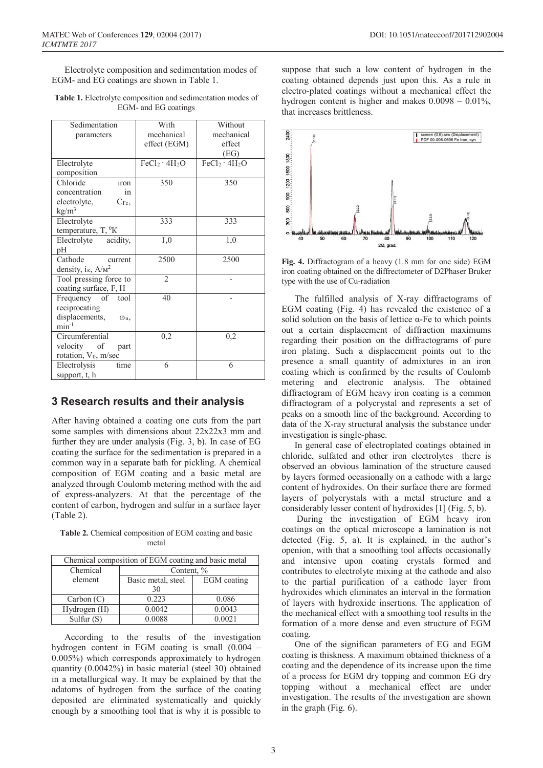Electrolyte composition and sedimentation modes of EGM- and EG coatings are shown in Table 1.

| <b>Table 1.</b> Electrolyte composition and sedimentation modes of |  |
|--------------------------------------------------------------------|--|
| EGM- and EG coatings                                               |  |

| Sedimentation                           | With                                  | Without            |
|-----------------------------------------|---------------------------------------|--------------------|
| parameters                              | mechanical                            | mechanical         |
|                                         | effect (EGM)                          | effect             |
|                                         |                                       | (EG)               |
| Electrolyte                             | FeCl <sub>2</sub> · 4H <sub>2</sub> O | $FeCl2 \cdot 4H2O$ |
| composition                             |                                       |                    |
| Chloride<br>iron                        | 350                                   | 350                |
| concentration<br>in                     |                                       |                    |
| electrolyte,<br>$C_{Fe}$ ,              |                                       |                    |
| $\text{kg/m}^3$                         |                                       |                    |
| Electrolyte                             | 333                                   | 333                |
| temperature, T, <sup>0</sup> K          |                                       |                    |
| acidity,<br>Electrolyte                 | 1,0                                   | 1,0                |
| pH                                      |                                       |                    |
| Cathode<br>current                      | 2500                                  | 2500               |
| density, $i_{\kappa}$ , $A/m^2$         |                                       |                    |
| Tool pressing force to                  | $\mathfrak{D}$                        |                    |
| coating surface, F, H                   |                                       |                    |
| Frequency of tool                       | 40                                    |                    |
| reciprocating                           |                                       |                    |
| displacements,<br>$\omega_{\text{H}}$ , |                                       |                    |
| $min-1$                                 |                                       |                    |
| Circumferential                         | 0,2                                   | 0,2                |
| velocity of<br>part                     |                                       |                    |
| rotation, V <sub>0</sub> , m/sec        |                                       |                    |
| Electrolysis<br>time                    | 6                                     | 6                  |
| support, t, h                           |                                       |                    |

#### **3 Research results and their analysis**

After having obtained a coating one cuts from the part some samples with dimensions about  $22x22x3$  mm and further they are under analysis (Fig. 3, b). In case of EG coating the surface for the sedimentation is prepared in a common way in a separate bath for pickling. A chemical composition of EGM coating and a basic metal are analyzed through Coulomb metering method with the aid of express-analyzers. At that the percentage of the content of carbon, hydrogen and sulfur in a surface layer (Table 2).

**Table 2.** Chemical composition of EGM coating and basic metal

| Chemical composition of EGM coating and basic metal |                    |             |  |
|-----------------------------------------------------|--------------------|-------------|--|
| Chemical                                            | Content, %         |             |  |
| element                                             | Basic metal, steel | EGM coating |  |
|                                                     | 30                 |             |  |
| Carbon (C)                                          | 0.223              | 0.086       |  |
| Hydrogen (H)                                        | 0.0042             | 0.0043      |  |
| Sulfur $(S)$                                        | 0.0088             | 0.0021      |  |

According to the results of the investigation hydrogen content in EGM coating is small (0.004 – 0.005%) which corresponds approximately to hydrogen quantity (0.0042%) in basic material (steel 30) obtained in a metallurgical way. It may be explained by that the adatoms of hydrogen from the surface of the coating deposited are eliminated systematically and quickly enough by a smoothing tool that is why it is possible to

suppose that such a low content of hydrogen in the coating obtained depends just upon this. As a rule in electro-plated coatings without a mechanical effect the hydrogen content is higher and makes  $0.0098 - 0.01\%$ , that increases brittleness.



**Fig. 4.** Diffractogram of a heavy (1.8 mm for one side) EGM iron coating obtained on the diffrectometer of D2Phaser Bruker type with the use of Cu-radiation

The fulfilled analysis of X-ray diffractograms of EGM coating (Fig. 4) has revealed the existence of a solid solution on the basis of lettice  $\alpha$ -Fe to which points out a certain displacement of diffraction maximums regarding their position on the diffractograms of pure iron plating. Such a displacement points out to the presence a small quantity of admixtures in an iron coating which is confirmed by the results of Coulomb metering and electronic analysis. The obtained diffractogram of EGM heavy iron coating is a common diffractogram of a polycrystal and represents a set of peaks on a smooth line of the background. According to data of the X-ray structural analysis the substance under investigation is single-phase.

In general case of electroplated coatings obtained in chloride, sulfated and other iron electrolytes there is observed an obvious lamination of the structure caused by layers formed occasionally on a cathode with a large content of hydroxides. On their surface there are formed layers of polycrystals with a metal structure and a considerably lesser content of hydroxides [1] (Fig. 5, b).

During the investigation of EGM heavy iron coatings on the optical microscope a lamination is not detected (Fig. 5, а). It is explained, in the author's openion, with that a smoothing tool affects occasionally and intensive upon coating crystals formed and contributes to electrolyte mixing at the cathode and also to the partial purification of a cathode layer from hydroxides which eliminates an interval in the formation of layers with hydroxide insertions. The application of the mechanical effect with a smoothing tool results in the formation of a more dense and even structure of EGM coating.

One of the significan parameters of EG and EGM coating is thiskness. A maximum obtained thickness of a coating and the dependence of its increase upon the time of a process for EGM dry topping and common EG dry topping without a mechanical effect are under investigation. The results of the investigation are shown in the graph (Fig. 6).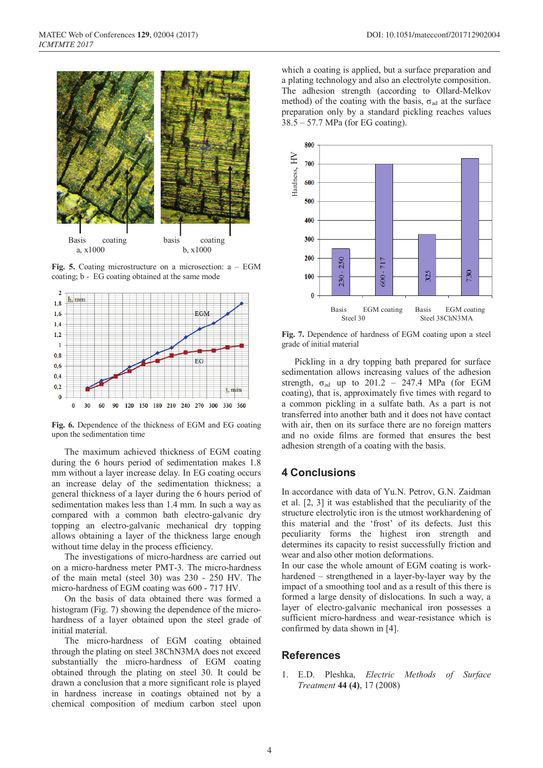

**Fig. 5.** Coating microstructure on a microsection: a – EGM coating; b - EG coating obtained at the same mode



**Fig. 6.** Dependence of the thickness of EGM and EG coating upon the sedimentation time

The maximum achieved thickness of EGM coating during the 6 hours period of sedimentation makes 1.8 mm without a layer increase delay. In EG coating occurs an increase delay of the sedimentation thickness; a general thickness of a layer during the 6 hours period of sedimentation makes less than 1.4 mm. In such a way as compared with a common bath electro-galvanic dry topping an electro-galvanic mechanical dry topping allows obtaining a layer of the thickness large enough without time delay in the process efficiency.

The investigations of micro-hardness are carried out on a micro-hardness meter PМТ-3. The micro-hardness of the main metal (steel 30) was 230 - 250 HV. The micro-hardness of EGM coating was 600 - 717 HV.

On the basis of data obtained there was formed a histogram (Fig. 7) showing the dependence of the microhardness of a layer obtained upon the steel grade of initial material.

The micro-hardness of EGM coating obtained through the plating on steel 38ChN3МА does not exceed substantially the micro-hardness of EGM coating obtained through the plating on steel 30. It could be drawn a conclusion that a more significant role is played in hardness increase in coatings obtained not by a chemical composition of medium carbon steel upon which a coating is applied, but a surface preparation and a plating technology and also an electrolyte composition. The adhesion strength (according to Ollard-Melkov method) of the coating with the basis,  $\sigma_{ad}$  at the surface preparation only by a standard pickling reaches values 38.5 – 57.7 МPа (for EG coating).



**Fig. 7.** Dependence of hardness of EGM coating upon a steel grade of initial material

Pickling in a dry topping bath prepared for surface sedimentation allows increasing values of the adhesion strength,  $\sigma_{ad}$  up to 201.2 – 247.4 MPa (for EGM coating), that is, approximately five times with regard to a common pickling in a sulfate bath. As a part is not transferred into another bath and it does not have contact with air, then on its surface there are no foreign matters and no oxide films are formed that ensures the best adhesion strength of a coating with the basis.

## **4 Conclusions**

In accordance with data of Yu.N. Petrov, G.N. Zaidman et al. [2, 3] it was established that the peculiarity of the structure electrolytic iron is the utmost workhardening of this material and the 'frost' of its defects. Just this peculiarity forms the highest iron strength and determines its capacity to resist successfully friction and wear and also other motion deformations.

In our case the whole amount of EGM coating is workhardened – strengthened in a layer-by-layer way by the impact of a smoothing tool and as a result of this there is formed a large density of dislocations. In such a way, a layer of electro-galvanic mechanical iron possesses a sufficient micro-hardness and wear-resistance which is confirmed by data shown in [4].

#### **References**

1. Е.D. Pleshka, *Electric Methods of Surface Treatment* **44 (4)**, 17 (2008)